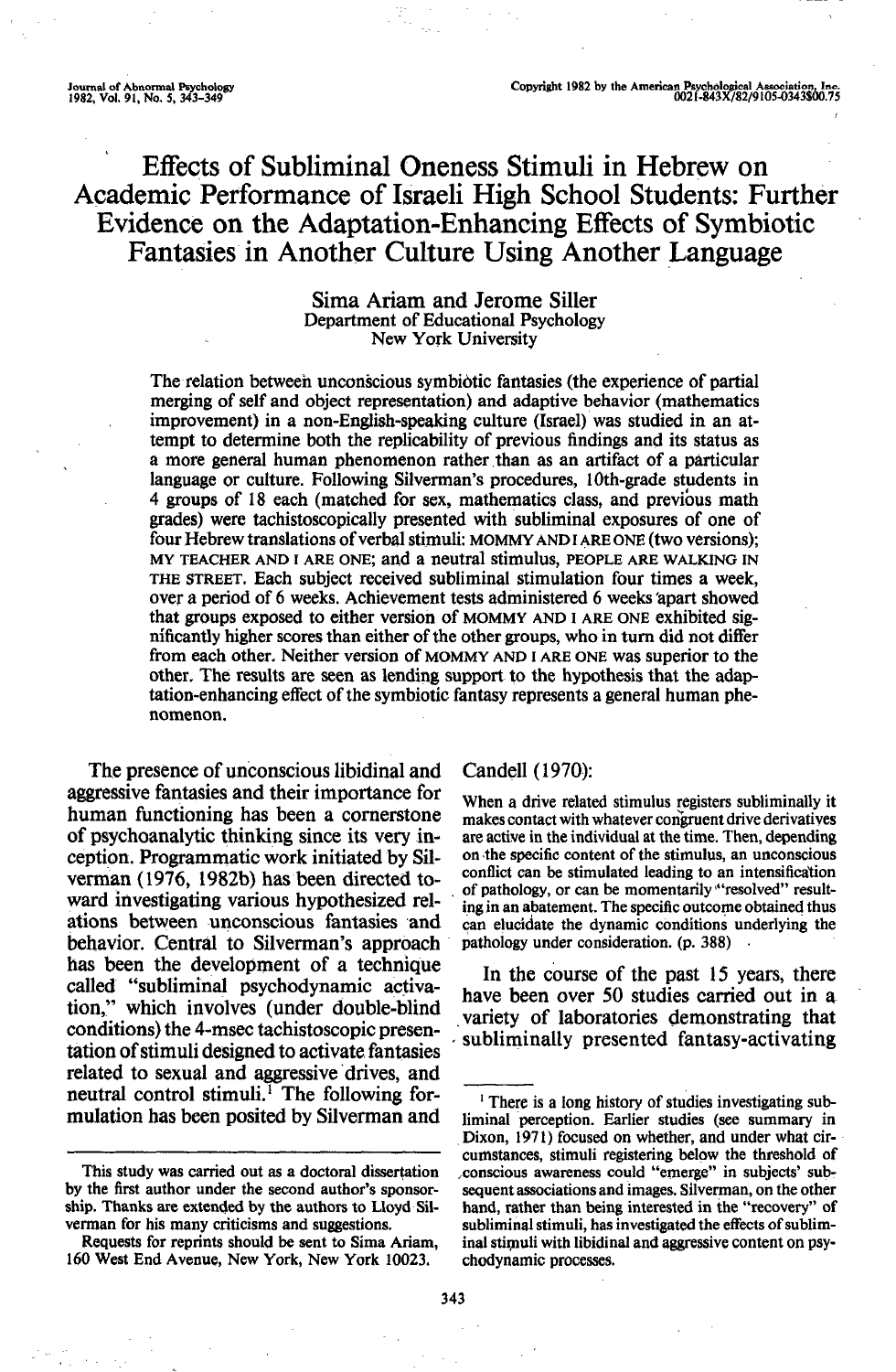Journal of Abnormal Psychology<br>1982, Vol. 91, No. 5, 343-349

# Effects of Subliminal Oneness Stimuli in Hebrew on Academic Performance of Israeli High School Students: Further Evidence on the Adaptation-Enhancing Effects of Symbiotic Fantasies in Another Culture Using Another Language

## Sima Ariam and Jerome Siller Department of Educational Psychology New York University

The relation between unconscious symbiotic fantasies (the experience of partial merging of self and object representation) and adaptive behavior (mathematics improvement) in a non-English-speaking culture (Israel) was studied in an attempt to determine both the replicability of previous findings and its status as a more general human phenomenon rather than as an artifact of a particular language or culture. Following Silverman's procedures, lOth-grade students in 4 groups of 18 each (matched for sex, mathematics class, and previous math grades) were tachistoscopically presented with subliminal exposures of one of four Hebrew translations of verbal stimuli: MOMMY AND i ARE ONE (two versions); MY TEACHER AND i ARE ONE; and a neutral stimulus, PEOPLE ARE WALKING IN THE STREET. Each subject received subliminal stimulation four times a week, over a period of 6 weeks. Achievement tests administered 6 weeks 'apart showed that groups exposed to either version of MOMMY AND i ARE ONE exhibited significantly higher scores than either of the other groups, who in turn did not differ from each other. Neither version of MOMMY AND i ARE ONE was superior to the other. The results are seen as lending support to the hypothesis that the adaptation-enhancing effect of the symbiotic fantasy represents a general human phenomenon.

The presence of unconscious libidinal and aggressive fantasies and their importance for human functioning has been a cornerstone of psychoanalytic thinking since its very inception. Programmatic work initiated by Silverman (1976, 1982b) has been directed to ward investigating various hypothesized relations between unconscious fantasies and behavior. Central to Silverman's approach has been the development of a technique called "subliminal psychodynamic activation," which involves (under double-blind conditions) the 4-msec tachistoscopic presentation of stimuli designed to activate fantasies related to sexual and aggressive drives, and neutral control stimuli.<sup>1</sup> The following formulation has been posited by Silverman and

# Candell (1970):

When a drive related stimulus registers subliminally it makes contact with whatever congruent drive derivatives are active in the individual at the time. Then, depending on the specific content of the stimulus, an unconscious conflict can be stimulated leading to an intensification of pathology, or can be momentarily "resolved" resulting in an abatement. The specific outcome obtained thus can elucidate the dynamic conditions underlying the pathology under consideration, (p. 388) •

In the course of the past 15 years, there have been over 50 studies carried out in a<br>variety of laboratories demonstrating that<br>whilmingly presented for the variety activation variety of laboratories demonstrating that<br>subliminally presented fantasy-activating

This study was carried out as a doctoral dissertation by the first author under the second author's sponsorship. Thanks are extended by the authors to Lloyd Silverman for his many criticisms and suggestions.

Requests for reprints should be sent to Sima Ariam, 160 West End Avenue, New York, New York 10023.

<sup>&</sup>lt;sup>1</sup> There is a long history of studies investigating subliminal perception. Earlier studies (see summary in Dixon, 1971) focused on whether, and under what circumstances, stimuli registering below the threshold of .conscious awareness could "emerge" in subjects' subsequent associations and images. Silverman, on the other hand, rather than being interested in the "recovery" of subliminal stimuli, has investigated the effects of subliminal stimuli with libidinal and aggressive content on psychodynamic processes.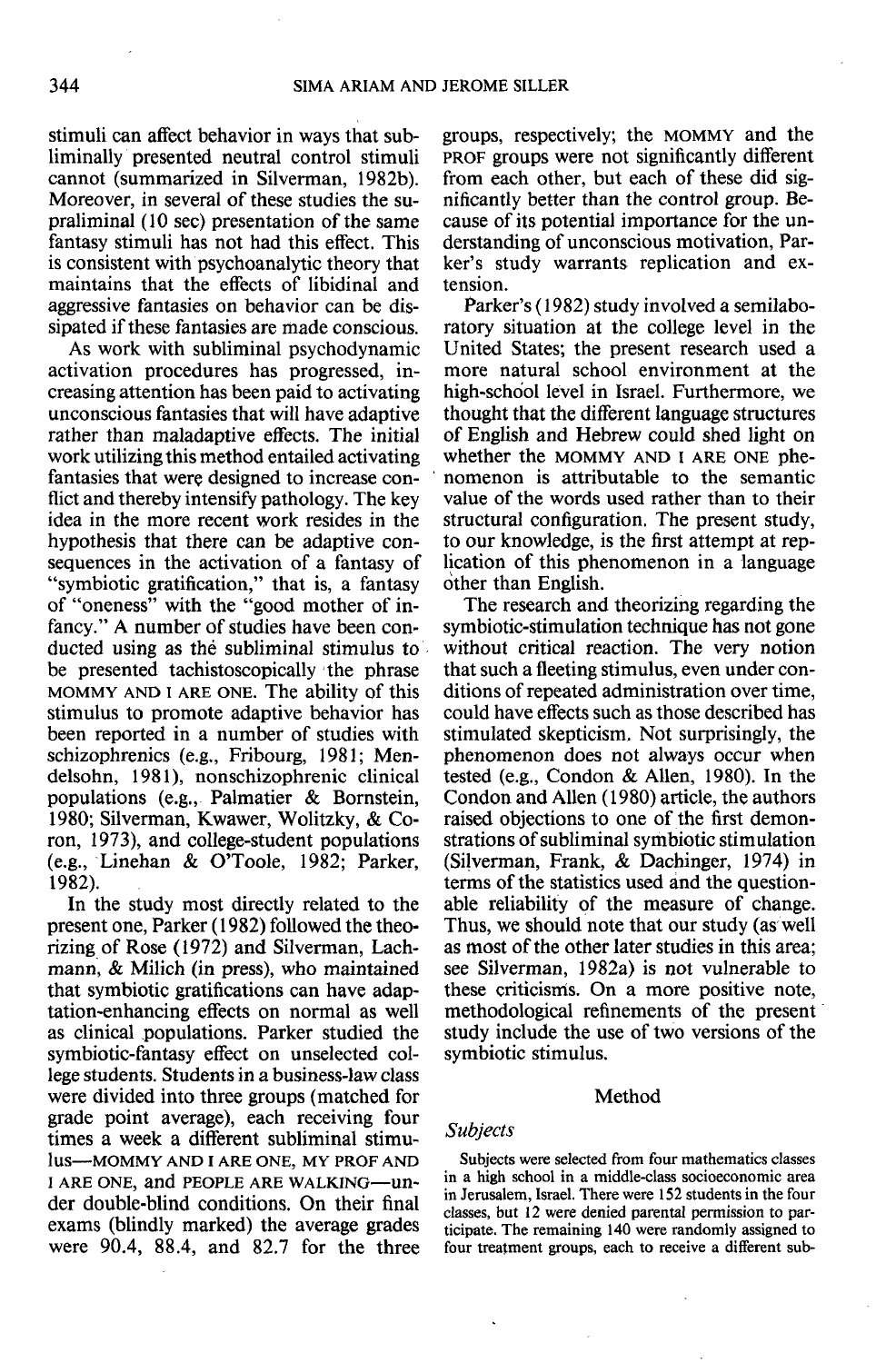stimuli can affect behavior in ways that subliminally presented neutral control stimuli cannot (summarized in Silverman, 1982b). Moreover, in several of these studies the supraliminal (10 sec) presentation of the same fantasy stimuli has not had this effect. This is consistent with psychoanalytic theory that maintains that the effects of libidinal and aggressive fantasies on behavior can be dissipated if these fantasies are made conscious.

As work with subliminal psychodynamic activation procedures has progressed, increasing attention has been paid to activating unconscious fantasies that will have adaptive rather than maladaptive effects. The initial work utilizing this method entailed activating fantasies that were designed to increase conflict and thereby intensify pathology. The key idea in the more recent work resides in the hypothesis that there can be adaptive consequences in the activation of a fantasy of "symbiotic gratification," that is, a fantasy of "oneness" with the "good mother of infancy." A number of studies have been conducted using as the subliminal stimulus to be presented tachistoscopically the phrase MOMMY AND i ARE ONE. The ability of this stimulus to promote adaptive behavior has been reported in a number of studies with schizophrenics (e.g., Fribourg, 1981; Mendelsohn, 1981), nonschizophrenic clinical populations (e.g., Palmatier & Bornstein, 1980; Silverman, Kwawer, Wolitzky, & Coron, 1973), and college-student populations (e.g., Linehan & O'Toole, 1982; Parker, 1982).

In the study most directly related to the present one, Parker (1982) followed the theorizing of Rose (1972) and Silverman, Lachmann, & Milich (in press), who maintained that symbiotic gratifications can have adaptation-enhancing effects on normal as well as clinical populations. Parker studied the symbiotic-fantasy effect on unselected college students. Students in a business-law class were divided into three groups (matched for grade point average), each receiving four times a week a different subliminal stimulus—MOMMY AND I ARE ONE, MY PROF AND i ARE ONE, and PEOPLE ARE WALKING—under double-blind conditions. On their final exams (blindly marked) the average grades were 90.4, 88.4, and 82.7 for the three groups, respectively; the MOMMY and the PROF groups were not significantly different from each other, but each of these did significantly better than the control group. Because of its potential importance for the understanding of unconscious motivation, Parker's study warrants replication and extension.

Parker's (1982) study involved a semilaboratory situation at the college level in the United States; the present research used a more natural school environment at the high-school level in Israel. Furthermore, we thought that the different language structures of English and Hebrew could shed light on whether the MOMMY AND i ARE ONE phenomenon is attributable to the semantic value of the words used rather than to their structural configuration. The present study, to our knowledge, is the first attempt at replication of this phenomenon in a language other than English.

The research and theorizing regarding the symbiotic-stimulation technique has not gone without critical reaction. The very notion that such a fleeting stimulus, even under conditions of repeated administration over time, could have effects such as those described has stimulated skepticism. Not surprisingly, the phenomenon does not always occur when tested (e.g., Condon & Allen, 1980). In the Condon and Allen (1980) article, the authors raised objections to one of the first demonstrations of subliminal symbiotic stimulation (Silverman, Frank, & Dachinger, 1974) in terms of the statistics used and the questionable reliability of the measure of change. Thus, we should note that our study (as well as most of the other later studies in this area; see Silverman, 1982a) is not vulnerable to these criticisms. On a more positive note, methodological refinements of the present study include the use of two versions of the symbiotic stimulus.

#### Method

#### *Subjects*

Subjects were selected from four mathematics classes in a high school in a middle-class socioeconomic area in Jerusalem, Israel. There were 152 students in the four classes, but 12 were denied parental permission to participate. The remaining 140 were randomly assigned to four treatment groups, each to receive a different sub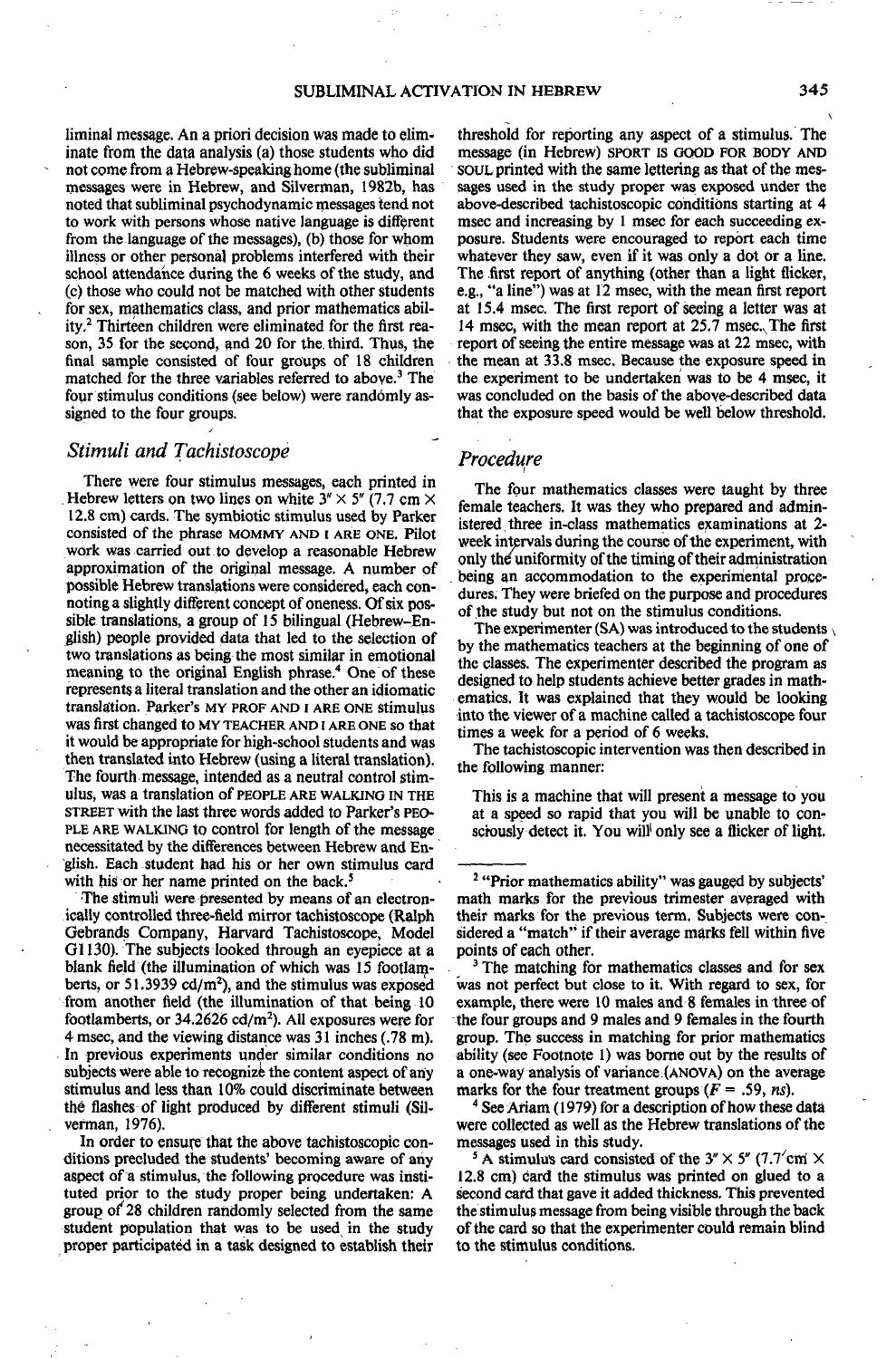liminal message. An a priori decision was made to eliminate from the data analysis (a) those students who did not come from a Hebrew-speaking home (the subliminal messages were in Hebrew, and Silverman, 1982b, has noted that subliminal psychodynamic messages tend not to work with persons whose native language is different from the language of the messages), (b) those for whom illness or other personal problems interfered with their school attendance during the 6 weeks of the study, and (c) those who could not be matched with other students for sex, mathematics class, and prior mathematics ability.<sup>2</sup> Thirteen children were eliminated for the first reason, 35 for the second, and 20 for the. third. Thus, the final sample consisted of four groups of 18 children matched for the three variables referred to above.<sup>3</sup> The four stimulus conditions (see below) were randomly assigned to the four groups.

## *Stimuli and Tachistoscope*

There were four stimulus messages, each printed in Hebrew letters on two lines on white  $3'' \times 5''$  (7.7 cm  $\times$ 12.8 cm) cards. The symbiotic stimulus used by Parker consisted of the phrase MOMMY AND i ARE ONE. Pilot work was carried out to develop a reasonable Hebrew approximation of the original message. A number of possible Hebrew translations were considered, each connoting a slightly different concept of oneness. Of six possible translations, a group of 15 bilingual (Hebrew-English) people provided data that led to the selection of two translations as being the most similar in emotional meaning to the original English phrase.<sup>4</sup> One of these represents a literal translation and the other an idiomatic translation. Parker's MY PROF AND i ARE ONE stimulus was first changed to MY TEACHER AND i ARE ONE so that it would be appropriate for high-school students and was then translated into Hebrew (using a literal translation). The fourth message, intended as a neutral control stimulus, was a translation of PEOPLE ARE WALKING IN THE STREET with the last three words added to Parker's PEO-PLE ARE WALKING to control for length of the message necessitated by the differences between Hebrew and English. Each student had his or her own stimulus card with his or her name printed on the back.<sup>5</sup>

The stimuli were presented by means of an electronically controlled three-field mirror tachistoscope (Ralph Gebrands Company, Harvard Tachistoscope, Model Gl 130). The subjects looked through an eyepiece at a blank field (the illumination of which was 15 footlamberts, or 51.3939  $cd/m^2$ ), and the stimulus was exposed from another field (the illumination of that being 10 footlamberts, or  $34.2626$  cd/m<sup>2</sup>). All exposures were for 4 msec, and the viewing distance was 31 inches (.78 m). In previous experiments under similar conditions no subjects were able to recognize the content aspect of any stimulus and less than 10% could discriminate between the flashes of light produced by different stimuli (Silverman, 1976).

In order to ensure that the above tachistoscopic conditions precluded the students' becoming aware of any aspect of a stimulus, the following procedure was instituted prior to the study proper being undertaken: A group of 28 children randomly selected from the same student population that was to be used in the study proper participated in a task designed to establish their threshold for reporting any aspect of a stimulus. The message (in Hebrew) SPORT is GOOD FOR BODY AND SOUL printed with the same lettering as that of the messages used in the study proper was exposed under the above-described tachistoscopic conditions starting at 4 msec and increasing by 1 msec for each succeeding exposure. Students were encouraged to report each time whatever they saw, even if it was only a dot or a line. The first report of anything (other than a light flicker, e.g., "a line") was at 12 msec, with the mean first report at 15.4 msec. The first report of seeing a letter was at 14 msec, with the mean report at 25.7 msec. The first report of seeing the entire message was at 22 msec, with the mean at 33.8 msec. Because the exposure speed in the experiment to be undertaken was to be 4 msec, it was concluded on the basis of the above-described data that the exposure speed would be well below threshold.

## *Procedure*

The four mathematics classes were taught by three female teachers. It was they who prepared and administered, three in-class mathematics examinations at 2 week intervals during the course of the experiment, with only the uniformity of the timing of their administration being an accommodation to the experimental procedures. They were briefed on the purpose and procedures of the study but not on the stimulus conditions.

The experimenter (SA) was introduced to the students  $\sqrt{ }$ by the mathematics teachers at the beginning of one of the classes. The experimenter described the program as designed to help students achieve better grades in mathematics. It was explained that they would be looking into the viewer of a machine called a tachistoscope four times a week for a period of 6 weeks.

The tachistoscopic intervention was then described in the following manner:

This is a machine that will present a message to you at a speed so rapid that you will be unable to consciously detect it. You will only see a flicker of light.

<sup>3</sup> The matching for mathematics classes and for sex was not perfect but close to it. With regard to sex, for example, there were 10 males and 8 females in three of the four groups and 9 males and 9 females in the fourth group. The success in matching for prior mathematics ability (see Footnote 1) was borne out by the results of a one-way analysis of variance (ANOVA) on the average marks for the four treatment groups *(F =* .59, *ns),*

4 See Ariam (1979) for a description of how these data were collected as well as the Hebrew translations of the messages used in this study.

<sup>5</sup> A stimulus card consisted of the  $3'' \times 5''$  (7.7<sup> $\textdegree$ </sup>cm  $\times$ 12.8 cm) card the stimulus was printed on glued to a second card that gave it added thickness. This prevented the stimulus message from being visible through the back of the card so that the experimenter could remain blind to the stimulus conditions.

<sup>&</sup>lt;sup>2</sup> "Prior mathematics ability" was gauged by subjects' math marks for the previous trimester averaged with their marks for the previous term. Subjects were considered a "match" if their average marks fell within five points of each other.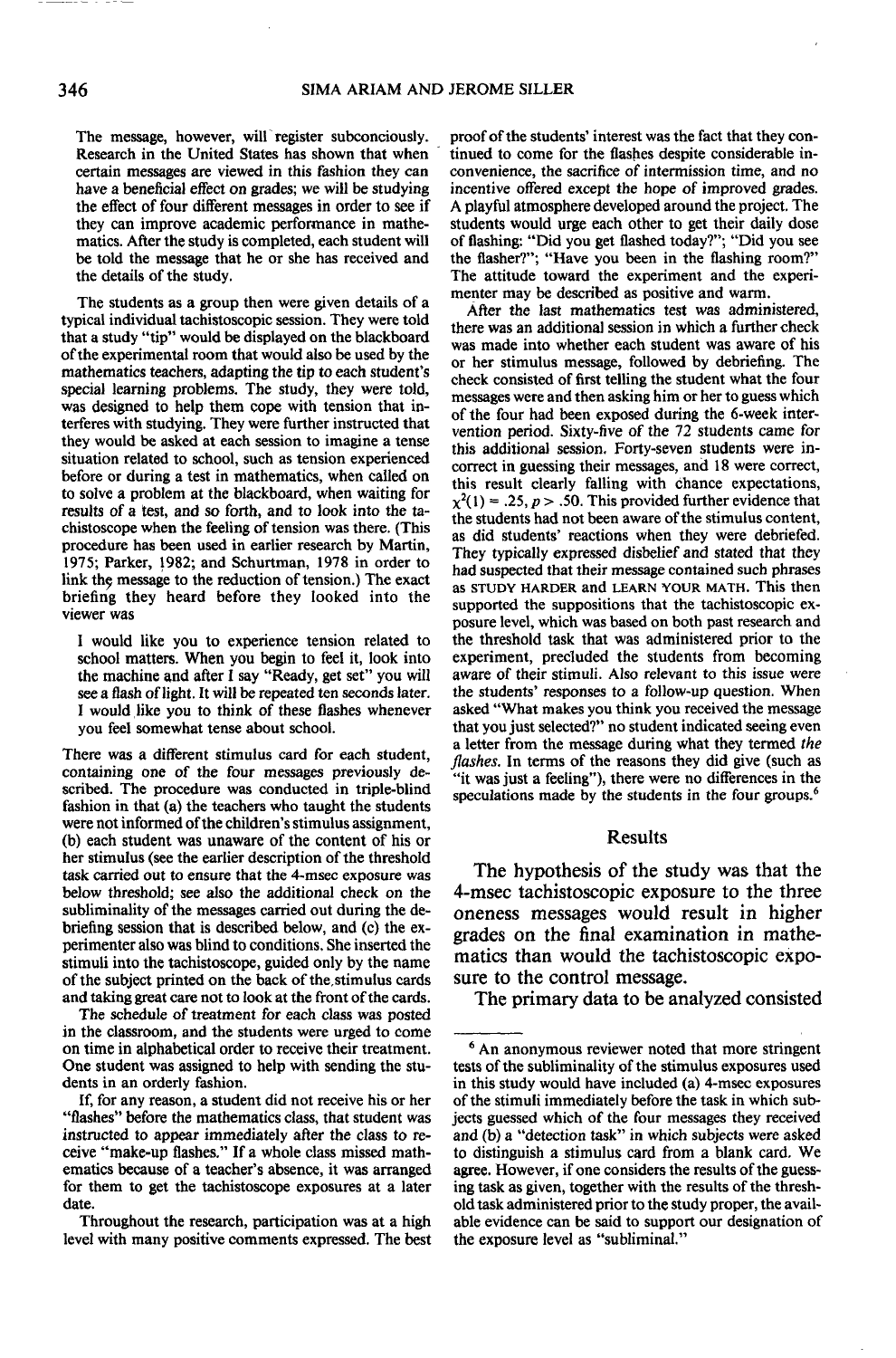The message, however, will register subconciously. Research in the United States has shown that when certain messages are viewed in this fashion they can have a beneficial effect on grades; we will be studying the effect of four different messages in order to see if they can improve academic performance in mathematics. After the study is completed, each student will be told the message that he or she has received and the details of the study.

The students as a group then were given details of a typical individual tachistoscopic session. They were told that a study "tip" would be displayed on the blackboard of the experimental room that would also be used by the mathematics teachers, adapting the tip to each student's special learning problems. The study, they were told, was designed to help them cope with tension that interferes with studying. They were further instructed that they would be asked at each session to imagine a tense situation related to school, such as tension experienced before or during a test in mathematics, when called on to solve a problem at the blackboard, when waiting for results of a test, and so forth, and to look into the tachistoscope when the feeling of tension was there. (This procedure has been used in earlier research by Martin, 1975; Parker, 1982; and Schurtman, 1978 in order to link the message to the reduction of tension.) The exact briefing they heard before they looked into the viewer was

I would like you to experience tension related to school matters. When you begin to feel it, look into the machine and after I say "Ready, get set" you will see a flash of light. It will be repeated ten seconds later. I would like you to think of these flashes whenever you feel somewhat tense about school.

There was a different stimulus card for each student, containing one of the four messages previously described. The procedure was conducted in triple-blind fashion in that (a) the teachers who taught the students were not informed of the children's stimulus assignment, (b) each student was unaware of the content of his or her stimulus (see the earlier description of the threshold task carried out to ensure that the 4-msec exposure was below threshold; see also the additional check on the subliminality of the messages carried out during the debriefing session that is described below, and (c) the experimenter also was blind to conditions. She inserted the stimuli into the tachistoscope, guided only by the name of the subject printed on the back of the,stimulus cards and taking great care not to look at the front of the cards.

The schedule of treatment for each class was posted in the classroom, and the students were urged to come on time in alphabetical order to receive their treatment. One student was assigned to help with sending the students in an orderly fashion.

If, for any reason, a student did not receive his or her "flashes" before the mathematics class, that student was instructed to appear immediately after the class to receive "make-up flashes." If a whole class missed mathematics because of a teacher's absence, it was arranged for them to get the tachistoscope exposures at a later date.

Throughout the research, participation was at a high level with many positive comments expressed. The best proof of the students' interest was the fact that they continued to come for the flashes despite considerable inconvenience, the sacrifice of intermission time, and no incentive offered except the hope of improved grades. A playful atmosphere developed around the project. The students would urge each other to get their daily dose of flashing: "Did you get flashed today?"; "Did you see the flasher?"; "Have you been in the flashing room?" The attitude toward the experiment and the experimenter may be described as positive and warm.

After the last mathematics test was administered, there was an additional session in which a further check was made into whether each student was aware of his or her stimulus message, followed by debriefing. The check consisted of first telling the student what the four messages were and then asking him or her to guess which of the four had been exposed during the 6-week intervention period. Sixty-five of the 72 students came for this additional session. Forty-seven students were incorrect in guessing their messages, and 18 were correct, this result clearly falling with chance expectations,  $\chi^2(1) = .25, p > .50$ . This provided further evidence that the students had not been aware of the stimulus content, as did students' reactions when they were debriefed. They typically expressed disbelief and stated that they had suspected that their message contained such phrases as STUDY HARDER and LEARN YOUR MATH. This then supported the suppositions that the tachistoscopic exposure level, which was based on both past research and the threshold task that was administered prior to the experiment, precluded the students from becoming aware of their stimuli. Also relevant to this issue were the students' responses to a follow-up question. When asked "What makes you think you received the message that you just selected?" no student indicated seeing even a letter from the message during what they termed *the flashes.* In terms of the reasons they did give (such as "it was just a feeling"), there were no differences in the speculations made by the students in the four groups.<sup>6</sup>

#### Results

The hypothesis of the study was that the 4-msec tachistoscopic exposure to the three oneness messages would result in higher grades on the final examination in mathematics than would the tachistoscopic exposure to the control message.

The primary data to be analyzed consisted

<sup>6</sup> An anonymous reviewer noted that more stringent tests of the subliminality of the stimulus exposures used in this study would have included (a) 4-msec exposures of the stimuli immediately before the task in which subjects guessed which of the four messages they received and (b) a "detection task" in which subjects were asked to distinguish a stimulus card from a blank card. We agree. However, if one considers the results of the guessing task as given, together with the results of the threshold task administered prior to the study proper, the available evidence can be said to support our designation of the exposure level as "subliminal,"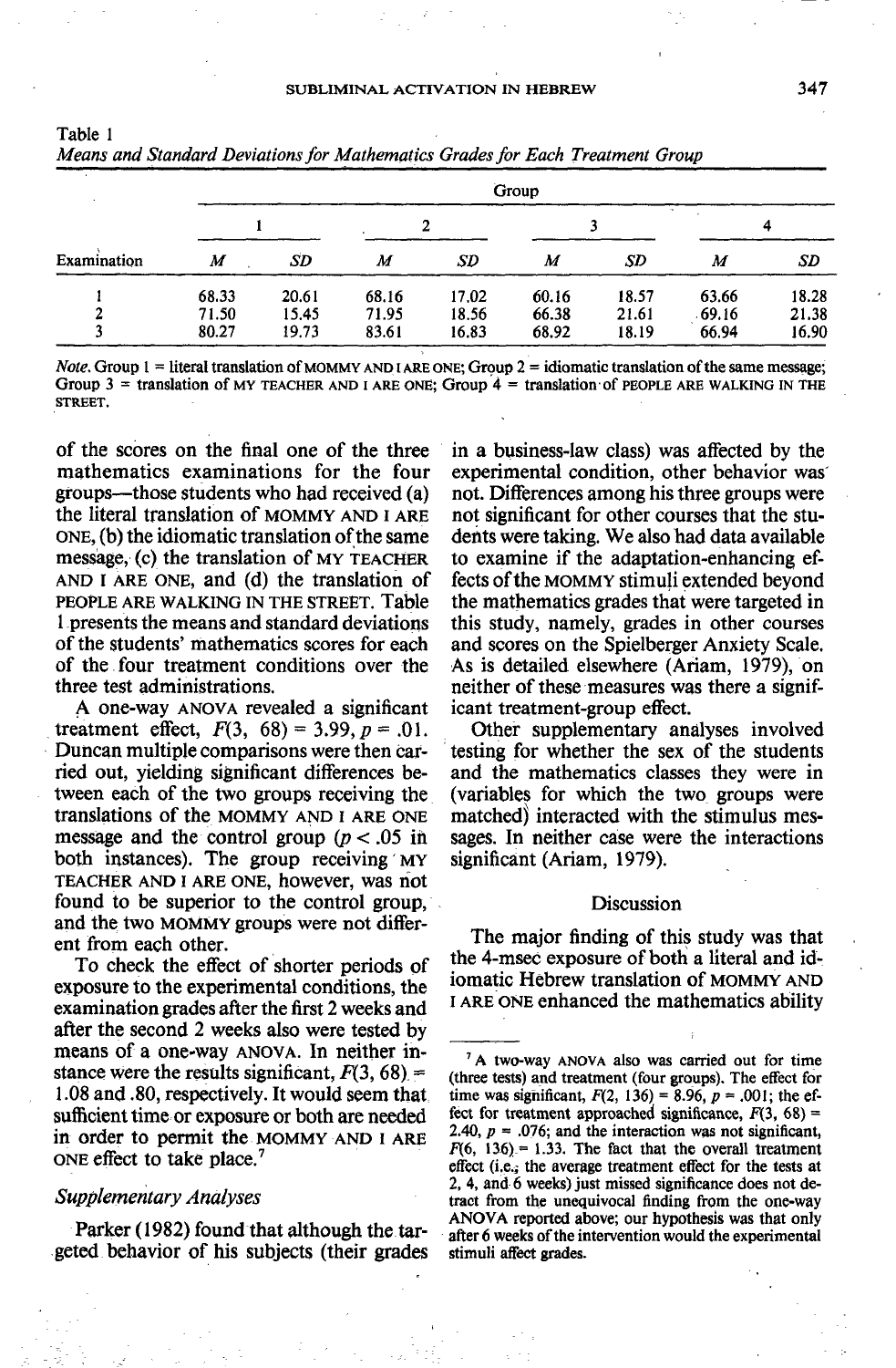| Examination | Group                   |                         |                         |                         |                         |                         |                            |                         |
|-------------|-------------------------|-------------------------|-------------------------|-------------------------|-------------------------|-------------------------|----------------------------|-------------------------|
|             |                         |                         |                         |                         |                         |                         |                            |                         |
|             | М                       | SD                      | М                       | SD                      | M                       | SD                      | M                          | <b>SD</b>               |
|             | 68.33<br>71.50<br>80.27 | 20.61<br>15.45<br>19.73 | 68.16<br>71.95<br>83.61 | 17,02<br>18.56<br>16.83 | 60.16<br>66.38<br>68.92 | 18.57<br>21.61<br>18.19 | 63.66<br>$-69.16$<br>66.94 | 18.28<br>21.38<br>16.90 |

Table 1 *Means and Standard Deviations for Mathematics Grades for Each Treatment Group*

*Note.* Group 1 = literal translation of MOMMY AND I ARE ONE; Group 2 = idiomatic translation of the same message; Group 3 = translation of MY TEACHER AND i ARE ONE; Group 4 = translation of PEOPLE ARE WALKING IN THE STREET.

of the scores on the final one of the three mathematics examinations for the four groups—those students who had received (a) the literal translation of MOMMY AND i ARE ONE, (b) the idiomatic translation of the same message, (c) the translation of MY TEACHER AND I ARE ONE, and (d) the translation of PEOPLE ARE WALKING IN THE STREET. **Table** 1 presents the means and standard deviations of the students' mathematics scores for each of the four treatment conditions over the three test administrations.

A one-way ANOVA revealed a significant treatment effect,  $F(3, 68) = 3.99, p = .01$ . Duncan multiple comparisons were then carried out, yielding significant differences between each of the two groups receiving the translations of the MOMMY AND i ARE ONE message and the control group *(p <* .05 in both instances). The group receiving MY TEACHER AND i ARE ONE, however, was riot found to be superior to the control group, and the two MOMMY groups were not different from each other.

To check the effect of shorter periods of exposure to the experimental conditions, the examination grades after the first 2 weeks and after the second 2 weeks also were tested by means of a one-way ANOVA. In neither instance were the results significant,  $F(3, 68) =$ 1.08 and .80, respectively. It would seem that sufficient time or exposure or both are needed in order to permit the MOMMY AND i ARE ONE effect to take place.<sup>7</sup>

# *Supplementary Analyses*

Parker (1982) found that although the targeted behavior of his subjects (their grades in a business-law class) was affected by the experimental condition, other behavior was not. Differences among his three groups were not significant for other courses that the students were taking. We also had data available to examine if the adaptation-enhancing effects of the MOMMY stimuli extended beyond the mathematics grades that were targeted in this study, namely, grades in other courses and scores on the Spielberger Anxiety Scale. As is detailed elsewhere (Ariam, 1979), on neither of these measures was there a significant treatment-group effect.

Other supplementary analyses involved testing for whether the sex of the students and the mathematics classes they were in (variables for which the two groups were matched) interacted with the stimulus messages. In neither case were the interactions significant (Ariam, 1979).

#### Discussion

The major finding of this study was that the 4-msec exposure of both a literal and idiomatic Hebrew translation of MOMMY AND i ARE ONE enhanced the mathematics ability

<sup>&</sup>lt;sup>7</sup> A two-way ANOVA also was carried out for time (three tests) and treatment (four groups). The effect for time was significant, *F(2,* 136) = 8.96, *p =* .001; the effect for treatment approached significance,  $F(3, 68) =$ 2.40,  $p = .076$ ; and the interaction was not significant,  $F(6, 136) = 1.33$ . The fact that the overall treatment effect (i.e., the average treatment effect for the tests at 2, 4, and 6 weeks) just missed significance does not detract from the unequivocal finding from the one-way ANOVA reported above; our hypothesis was that only after 6 weeks of the intervention would the experimental stimuli affect grades.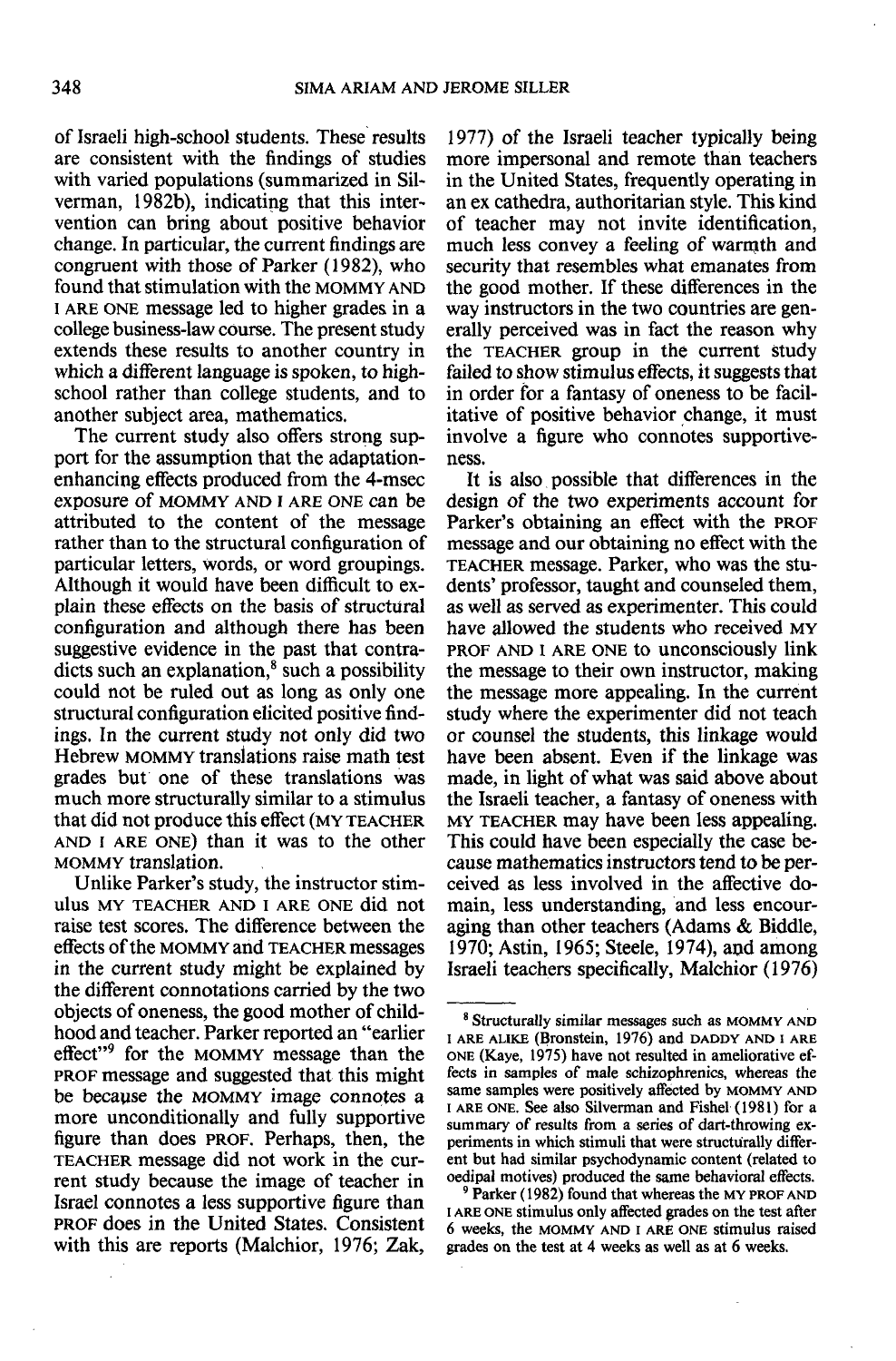of Israeli high-school students. These results are consistent with the findings of studies with varied populations (summarized in Silverman, 1982b), indicating that this intervention can bring about positive behavior change. In particular, the current findings are congruent with those of Parker (1982), who found that stimulation with the MOMMY AND I ARE ONE message led to higher grades in a college business-law course. The present study extends these results to another country in which a different language is spoken, to highschool rather than college students, and to another subject area, mathematics.

The current study also offers strong support for the assumption that the adaptationenhancing effects produced from the 4-msec exposure of MOMMY AND i ARE ONE can be attributed to the content of the message rather than to the structural configuration of particular letters, words, or word groupings. Although it would have been difficult to explain these effects on the basis of structural configuration and although there has been suggestive evidence in the past that contradicts such an explanation,<sup>8</sup> such a possibility could not be ruled out as long as only one structural configuration elicited positive findings. In the current study not only did two Hebrew MOMMY translations raise math test grades but one of these translations was much more structurally similar to a stimulus that did not produce this effect (MY TEACHER AND I ARE ONE) than it was to the other MOMMY translation.

Unlike Parker's study, the instructor stimulus MY TEACHER AND I ARE ONE did not raise test scores. The difference between the effects of the MOMMY and TEACHER messages in the current study might be explained by the different connotations carried by the two objects of oneness, the good mother of childhood and teacher. Parker reported an "earlier effect"<sup>9</sup> for the MOMMY message than the PROF message and suggested that this might be because the MOMMY image connotes a more unconditionally and fully supportive figure than does PROF. Perhaps, then, the TEACHER message did not work in the current study because the image of teacher in Israel connotes a less supportive figure than PROF does in the United States. Consistent with this are reports (Malchior, 1976; Zak,

1977) of the Israeli teacher typically being more impersonal and remote than teachers in the United States, frequently operating in an ex cathedra, authoritarian style. This kind of teacher may not invite identification, much less convey a feeling of warmth and security that resembles what emanates from the good mother. If these differences in the way instructors in the two countries are generally perceived was in fact the reason why the TEACHER group in the current study failed to show stimulus effects, it suggests that in order for a fantasy of oneness to be facilitative of positive behavior change, it must involve a figure who connotes supportiveness.

It is also possible that differences in the design of the two experiments account for Parker's obtaining an effect with the PROF message and our obtaining no effect with the TEACHER message. Parker, who was the students' professor, taught and counseled them, as well as served as experimenter. This could have allowed the students who received MY PROF AND i ARE ONE to unconsciously link the message to their own instructor, making the message more appealing. In the current study where the experimenter did not teach or counsel the students, this linkage would have been absent. Even if the linkage was made, in light of what was said above about the Israeli teacher, a fantasy of oneness with MY TEACHER may have been less appealing. This could have been especially the case because mathematics instructors tend to be perceived as less involved in the affective domain, less understanding, and less encouraging than other teachers (Adams & Biddle, 1970; Astin, 1965; Steele, 1974), and among Israeli teachers specifically, Malchior (1976)

<sup>&</sup>lt;sup>8</sup> Structurally similar messages such as MOMMY AND i ARE ALIKE (Bronstein, 1976) and DADDY AND i ARE ONE (Kaye, 1975) have not resulted in ameliorative effects in samples of male schizophrenics, whereas the same samples were positively affected by MOMMY AND i ARE ONE. See also Silverman and Fishel (1981) for a summary of results from a series of dart-throwing experiments in which stimuli that were structurally different but had similar psychodynamic content (related to oedipal motives) produced the same behavioral effects.

<sup>&</sup>lt;sup>9</sup> Parker (1982) found that whereas the MY PROF AND I ARE ONE stimulus only affected grades on the test after 6 weeks, the MOMMY AND i ARE ONE stimulus raised grades on the test at 4 weeks as well as at 6 weeks.